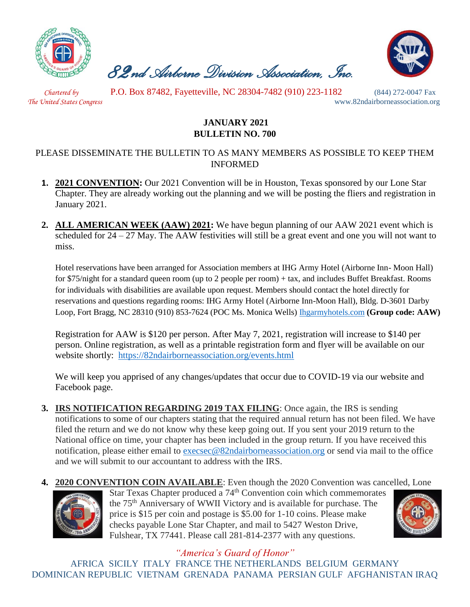

 *82nd Airborne Division Association, Inc.* 



 *Chartered by* P.O. Box 87482, Fayetteville, NC 28304-7482 (910) 223-1182 (844) 272-0047 Fax

*The United States Congress* www.82ndairborneassociation.org

## **JANUARY 2021 BULLETIN NO. 700**

## PLEASE DISSEMINATE THE BULLETIN TO AS MANY MEMBERS AS POSSIBLE TO KEEP THEM INFORMED

- **1. 2021 CONVENTION:** Our 2021 Convention will be in Houston, Texas sponsored by our Lone Star Chapter. They are already working out the planning and we will be posting the fliers and registration in January 2021.
- **2. ALL AMERICAN WEEK (AAW) 2021:** We have begun planning of our AAW 2021 event which is scheduled for  $24 - 27$  May. The AAW festivities will still be a great event and one you will not want to miss.

Hotel reservations have been arranged for Association members at IHG Army Hotel (Airborne Inn- Moon Hall) for \$75/night for a standard queen room (up to 2 people per room) + tax, and includes Buffet Breakfast. Rooms for individuals with disabilities are available upon request. Members should contact the hotel directly for reservations and questions regarding rooms: IHG Army Hotel (Airborne Inn-Moon Hall), Bldg. D-3601 Darby Loop, Fort Bragg, NC 28310 (910) 853-7624 (POC Ms. Monica Wells) [Ihgarmyhotels.com](01.%20%20Jan%202021%20National%20Bulletin.docx) **(Group code: AAW)**

Registration for AAW is \$120 per person. After May 7, 2021, registration will increase to \$140 per person. Online registration, as well as a printable registration form and flyer will be available on our website shortly: <https://82ndairborneassociation.org/events.html>

We will keep you apprised of any changes/updates that occur due to COVID-19 via our website and Facebook page.

- **3. IRS NOTIFICATION REGARDING 2019 TAX FILING**: Once again, the IRS is sending notifications to some of our chapters stating that the required annual return has not been filed. We have filed the return and we do not know why these keep going out. If you sent your 2019 return to the National office on time, your chapter has been included in the group return. If you have received this notification, please either email to [execsec@82ndairborneassociation.org](mailto:execsec@82ndairborneassociation.org) or send via mail to the office and we will submit to our accountant to address with the IRS.
- **4. 2020 CONVENTION COIN AVAILABLE**: Even though the 2020 Convention was cancelled, Lone



Star Texas Chapter produced a 74<sup>th</sup> Convention coin which commemorates the 75th Anniversary of WWII Victory and is available for purchase. The price is \$15 per coin and postage is \$5.00 for 1-10 coins. Please make checks payable Lone Star Chapter, and mail to 5427 Weston Drive, Fulshear, TX 77441. Please call 281-814-2377 with any questions.



*"America's Guard of Honor"*

AFRICA SICILY ITALY FRANCE THE NETHERLANDS BELGIUM GERMANY DOMINICAN REPUBLIC VIETNAM GRENADA PANAMA PERSIAN GULF AFGHANISTAN IRAQ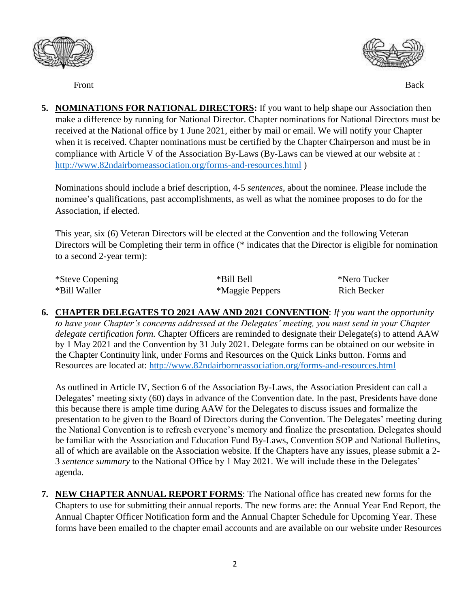



Front Back

**5. NOMINATIONS FOR NATIONAL DIRECTORS:** If you want to help shape our Association then make a difference by running for National Director. Chapter nominations for National Directors must be received at the National office by 1 June 2021, either by mail or email. We will notify your Chapter when it is received. Chapter nominations must be certified by the Chapter Chairperson and must be in compliance with Article V of the Association By-Laws (By-Laws can be viewed at our website at : <http://www.82ndairborneassociation.org/forms-and-resources.html> )

Nominations should include a brief description, 4-5 *sentences*, about the nominee. Please include the nominee's qualifications, past accomplishments, as well as what the nominee proposes to do for the Association, if elected.

This year, six (6) Veteran Directors will be elected at the Convention and the following Veteran Directors will be Completing their term in office (\* indicates that the Director is eligible for nomination to a second 2-year term):

| *Steve Copening | *Bill Bell      | *Nero Tucker |
|-----------------|-----------------|--------------|
| *Bill Waller    | *Maggie Peppers | Rich Becker  |

**6. CHAPTER DELEGATES TO 2021 AAW AND 2021 CONVENTION**: *If you want the opportunity to have your Chapter's concerns addressed at the Delegates' meeting, you must send in your Chapter delegate certification form.* Chapter Officers are reminded to designate their Delegate(s) to attend AAW by 1 May 2021 and the Convention by 31 July 2021. Delegate forms can be obtained on our website in the Chapter Continuity link, under Forms and Resources on the Quick Links button. Forms and Resources are located at:<http://www.82ndairborneassociation.org/forms-and-resources.html>

As outlined in Article IV, Section 6 of the Association By-Laws, the Association President can call a Delegates' meeting sixty (60) days in advance of the Convention date. In the past, Presidents have done this because there is ample time during AAW for the Delegates to discuss issues and formalize the presentation to be given to the Board of Directors during the Convention. The Delegates' meeting during the National Convention is to refresh everyone's memory and finalize the presentation. Delegates should be familiar with the Association and Education Fund By-Laws, Convention SOP and National Bulletins, all of which are available on the Association website. If the Chapters have any issues, please submit a 2- 3 *sentence summary* to the National Office by 1 May 2021. We will include these in the Delegates' agenda.

**7. NEW CHAPTER ANNUAL REPORT FORMS**: The National office has created new forms for the Chapters to use for submitting their annual reports. The new forms are: the Annual Year End Report, the Annual Chapter Officer Notification form and the Annual Chapter Schedule for Upcoming Year. These forms have been emailed to the chapter email accounts and are available on our website under Resources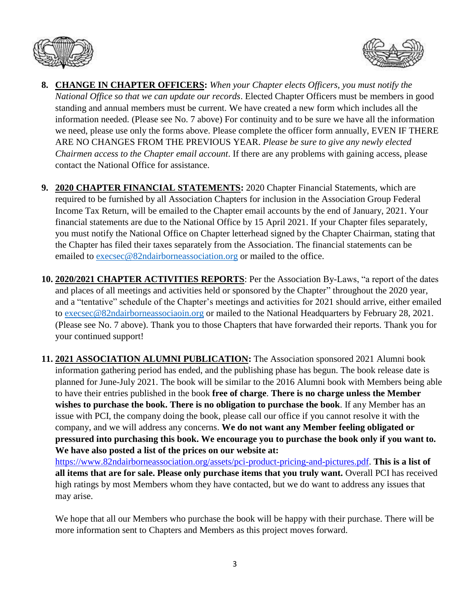



- **8. CHANGE IN CHAPTER OFFICERS:** *When your Chapter elects Officers, you must notify the National Office so that we can update our records*. Elected Chapter Officers must be members in good standing and annual members must be current. We have created a new form which includes all the information needed. (Please see No. 7 above) For continuity and to be sure we have all the information we need, please use only the forms above. Please complete the officer form annually, EVEN IF THERE ARE NO CHANGES FROM THE PREVIOUS YEAR. *Please be sure to give any newly elected Chairmen access to the Chapter email account*. If there are any problems with gaining access, please contact the National Office for assistance.
- **9. 2020 CHAPTER FINANCIAL STATEMENTS:** 2020 Chapter Financial Statements, which are required to be furnished by all Association Chapters for inclusion in the Association Group Federal Income Tax Return, will be emailed to the Chapter email accounts by the end of January, 2021. Your financial statements are due to the National Office by 15 April 2021. If your Chapter files separately, you must notify the National Office on Chapter letterhead signed by the Chapter Chairman, stating that the Chapter has filed their taxes separately from the Association. The financial statements can be emailed to [execsec@82ndairborneassociation.org](mailto:execsec@82ndairborneassociation.org) or mailed to the office.
- **10. 2020/2021 CHAPTER ACTIVITIES REPORTS**: Per the Association By-Laws, "a report of the dates and places of all meetings and activities held or sponsored by the Chapter" throughout the 2020 year, and a "tentative" schedule of the Chapter's meetings and activities for 2021 should arrive, either emailed to [execsec@82ndairborneassociaoin.org](mailto:execsec@82ndairborneassociaoin.org) or mailed to the National Headquarters by February 28, 2021. (Please see No. 7 above). Thank you to those Chapters that have forwarded their reports. Thank you for your continued support!
- **11. 2021 ASSOCIATION ALUMNI PUBLICATION:** The Association sponsored 2021 Alumni book information gathering period has ended, and the publishing phase has begun. The book release date is planned for June-July 2021. The book will be similar to the 2016 Alumni book with Members being able to have their entries published in the book **free of charge**. **There is no charge unless the Member wishes to purchase the book. There is no obligation to purchase the book**. If any Member has an issue with PCI, the company doing the book, please call our office if you cannot resolve it with the company, and we will address any concerns. **We do not want any Member feeling obligated or pressured into purchasing this book. We encourage you to purchase the book only if you want to. We have also posted a list of the prices on our website at:**

[https://www.82ndairborneassociation.org/assets/pci-product-pricing-and-pictures.pdf.](https://www.82ndairborneassociation.org/assets/pci-product-pricing-and-pictures.pdf) **This is a list of all items that are for sale. Please only purchase items that you truly want.** Overall PCI has received high ratings by most Members whom they have contacted, but we do want to address any issues that may arise.

We hope that all our Members who purchase the book will be happy with their purchase. There will be more information sent to Chapters and Members as this project moves forward.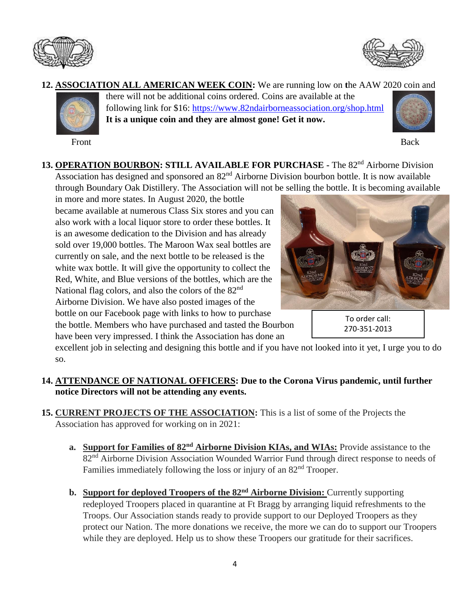



## **12. ASSOCIATION ALL AMERICAN WEEK COIN:** We are running low on **t**he AAW 2020 coin and



Front Back

there will not be additional coins ordered. Coins are available at the following link for \$16:<https://www.82ndairborneassociation.org/shop.html> **It is a unique coin and they are almost gone! Get it now.**



13. **OPERATION BOURBON: STILL AVAILABLE FOR PURCHASE** - The 82<sup>nd</sup> Airborne Division Association has designed and sponsored an 82<sup>nd</sup> Airborne Division bourbon bottle. It is now available through Boundary Oak Distillery. The Association will not be selling the bottle. It is becoming available

in more and more states. In August 2020, the bottle became available at numerous Class Six stores and you can also work with a local liquor store to order these bottles. It is an awesome dedication to the Division and has already sold over 19,000 bottles. The Maroon Wax seal bottles are currently on sale, and the next bottle to be released is the white wax bottle. It will give the opportunity to collect the Red, White, and Blue versions of the bottles, which are the National flag colors, and also the colors of the 82<sup>nd</sup> Airborne Division. We have also posted images of the bottle on our Facebook page with links to how to purchase the bottle. Members who have purchased and tasted the Bourbon have been very impressed. I think the Association has done an



To order call: 270-351-2013

excellent job in selecting and designing this bottle and if you have not looked into it yet, I urge you to do so.

## **14. ATTENDANCE OF NATIONAL OFFICERS: Due to the Corona Virus pandemic, until further notice Directors will not be attending any events.**

- **15. CURRENT PROJECTS OF THE ASSOCIATION:** This is a list of some of the Projects the Association has approved for working on in 2021:
	- **a. Support for Families of 82nd Airborne Division KIAs, and WIAs:** Provide assistance to the 82<sup>nd</sup> Airborne Division Association Wounded Warrior Fund through direct response to needs of Families immediately following the loss or injury of an  $82<sup>nd</sup>$  Trooper.
	- **b. Support for deployed Troopers of the 82nd Airborne Division:** Currently supporting redeployed Troopers placed in quarantine at Ft Bragg by arranging liquid refreshments to the Troops. Our Association stands ready to provide support to our Deployed Troopers as they protect our Nation. The more donations we receive, the more we can do to support our Troopers while they are deployed. Help us to show these Troopers our gratitude for their sacrifices.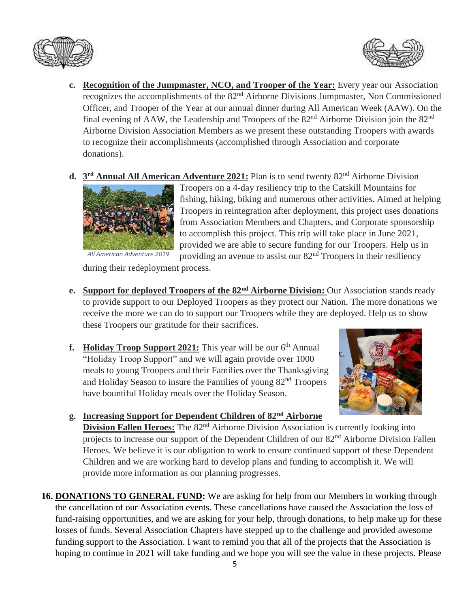



- **c. Recognition of the Jumpmaster, NCO, and Trooper of the Year:** Every year our Association recognizes the accomplishments of the 82nd Airborne Divisions Jumpmaster, Non Commissioned Officer, and Trooper of the Year at our annual dinner during All American Week (AAW). On the final evening of AAW, the Leadership and Troopers of the  $82<sup>nd</sup>$  Airborne Division join the  $82<sup>nd</sup>$ Airborne Division Association Members as we present these outstanding Troopers with awards to recognize their accomplishments (accomplished through Association and corporate donations).
- **d.** 3<sup>rd</sup> Annual All American Adventure 2021: Plan is to send twenty 82<sup>nd</sup> Airborne Division



Troopers on a 4-day resiliency trip to the Catskill Mountains for fishing, hiking, biking and numerous other activities. Aimed at helping Troopers in reintegration after deployment, this project uses donations from Association Members and Chapters, and Corporate sponsorship to accomplish this project. This trip will take place in June 2021, provided we are able to secure funding for our Troopers. Help us in providing an avenue to assist our 82nd Troopers in their resiliency

during their redeployment process.

- **e. Support for deployed Troopers of the 82nd Airborne Division:** Our Association stands ready to provide support to our Deployed Troopers as they protect our Nation. The more donations we receive the more we can do to support our Troopers while they are deployed. Help us to show these Troopers our gratitude for their sacrifices.
- f. Holiday Troop Support 2021: This year will be our 6<sup>th</sup> Annual "Holiday Troop Support" and we will again provide over 1000 meals to young Troopers and their Families over the Thanksgiving and Holiday Season to insure the Families of young 82nd Troopers have bountiful Holiday meals over the Holiday Season.



**g. Increasing Support for Dependent Children of 82nd Airborne** 

**Division Fallen Heroes:** The 82<sup>nd</sup> Airborne Division Association is currently looking into projects to increase our support of the Dependent Children of our 82<sup>nd</sup> Airborne Division Fallen Heroes. We believe it is our obligation to work to ensure continued support of these Dependent Children and we are working hard to develop plans and funding to accomplish it. We will provide more information as our planning progresses.

**16. DONATIONS TO GENERAL FUND:** We are asking for help from our Members in working through the cancellation of our Association events. These cancellations have caused the Association the loss of fund-raising opportunities, and we are asking for your help, through donations, to help make up for these losses of funds. Several Association Chapters have stepped up to the challenge and provided awesome funding support to the Association. I want to remind you that all of the projects that the Association is hoping to continue in 2021 will take funding and we hope you will see the value in these projects. Please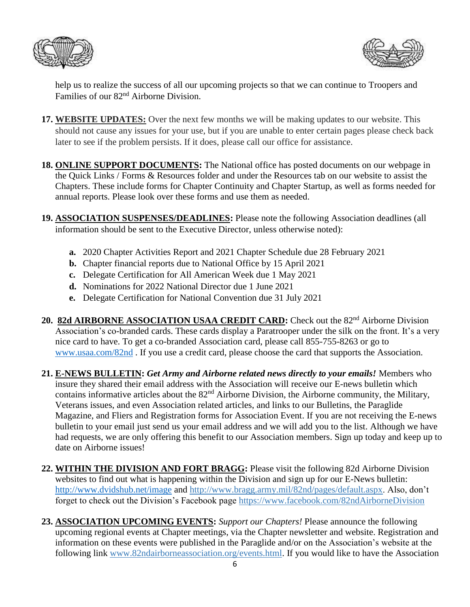



help us to realize the success of all our upcoming projects so that we can continue to Troopers and Families of our 82nd Airborne Division.

- **17. WEBSITE UPDATES:** Over the next few months we will be making updates to our website. This should not cause any issues for your use, but if you are unable to enter certain pages please check back later to see if the problem persists. If it does, please call our office for assistance.
- **18. ONLINE SUPPORT DOCUMENTS:** The National office has posted documents on our webpage in the Quick Links / Forms & Resources folder and under the Resources tab on our website to assist the Chapters. These include forms for Chapter Continuity and Chapter Startup, as well as forms needed for annual reports. Please look over these forms and use them as needed.
- **19. ASSOCIATION SUSPENSES/DEADLINES:** Please note the following Association deadlines (all information should be sent to the Executive Director, unless otherwise noted):
	- **a.** 2020 Chapter Activities Report and 2021 Chapter Schedule due 28 February 2021
	- **b.** Chapter financial reports due to National Office by 15 April 2021
	- **c.** Delegate Certification for All American Week due 1 May 2021
	- **d.** Nominations for 2022 National Director due 1 June 2021
	- **e.** Delegate Certification for National Convention due 31 July 2021
- 20. 82d AIRBORNE ASSOCIATION USAA CREDIT CARD: Check out the 82<sup>nd</sup> Airborne Division Association's co-branded cards. These cards display a Paratrooper under the silk on the front. It's a very nice card to have. To get a co-branded Association card, please call 855-755-8263 or go to [www.usaa.com/82nd](http://www.usaa.com/82nd) . If you use a credit card, please choose the card that supports the Association.
- **21. E-NEWS BULLETIN:** *Get Army and Airborne related news directly to your emails!* Members who insure they shared their email address with the Association will receive our E-news bulletin which contains informative articles about the 82<sup>nd</sup> Airborne Division, the Airborne community, the Military, Veterans issues, and even Association related articles, and links to our Bulletins, the Paraglide Magazine, and Fliers and Registration forms for Association Event. If you are not receiving the E-news bulletin to your email just send us your email address and we will add you to the list. Although we have had requests, we are only offering this benefit to our Association members. Sign up today and keep up to date on Airborne issues!
- **22. WITHIN THE DIVISION AND FORT BRAGG:** Please visit the following 82d Airborne Division websites to find out what is happening within the Division and sign up for our E-News bulletin: <http://www.dvidshub.net/image> and [http://www.bragg.army.mil/82nd/pages/default.aspx.](http://www.bragg.army.mil/82ND/Pages/default.aspx) Also, don't forget to check out the Division's Facebook page<https://www.facebook.com/82ndAirborneDivision>
- **23. ASSOCIATION UPCOMING EVENTS:** *Support our Chapters!* Please announce the following upcoming regional events at Chapter meetings, via the Chapter newsletter and website. Registration and information on these events were published in the Paraglide and/or on the Association's website at the following link [www.82ndairborneassociation.org/events.html.](http://www.82ndairborneassociation.org/events.html) If you would like to have the Association